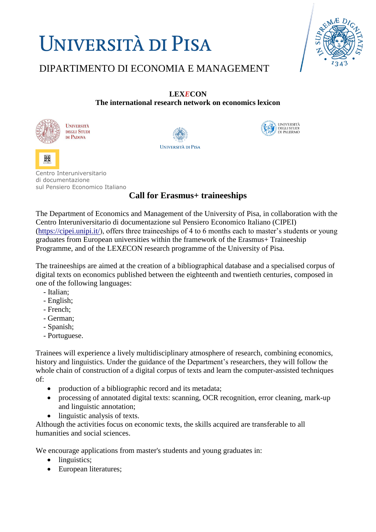# **UNIVERSITÀ DI PISA**



### DIPARTIMENTO DI ECONOMIA E MANAGEMENT

#### **LEX***E***CON**

**The international research network on economics lexicon** 



嘂

**UNIVERSITÀ DEGLI STUDI** DI PADOVA





Centro Interuniversitario di documentazione sul Pensiero Economico Italiano

### **Call for Erasmus+ traineeships**

The Department of Economics and Management of the University of Pisa, in collaboration with the Centro Interuniversitario di documentazione sul Pensiero Economico Italiano (CIPEI) [\(https://cipei.unipi.it/\)](https://cipei.unipi.it/), offers three traineeships of 4 to 6 months each to master's students or young graduates from European universities within the framework of the Erasmus+ Traineeship Programme, and of the LEX*E*CON research programme of the University of Pisa.

The traineeships are aimed at the creation of a bibliographical database and a specialised corpus of digital texts on economics published between the eighteenth and twentieth centuries, composed in one of the following languages:

- Italian;
- English;
- French;
- German;
- Spanish;
- Portuguese.

Trainees will experience a lively multidisciplinary atmosphere of research, combining economics, history and linguistics. Under the guidance of the Department's researchers, they will follow the whole chain of construction of a digital corpus of texts and learn the computer-assisted techniques of:

- production of a bibliographic record and its metadata;
- processing of annotated digital texts: scanning, OCR recognition, error cleaning, mark-up and linguistic annotation;
- linguistic analysis of texts.

Although the activities focus on economic texts, the skills acquired are transferable to all humanities and social sciences.

We encourage applications from master's students and young graduates in:

- linguistics;
- European literatures;